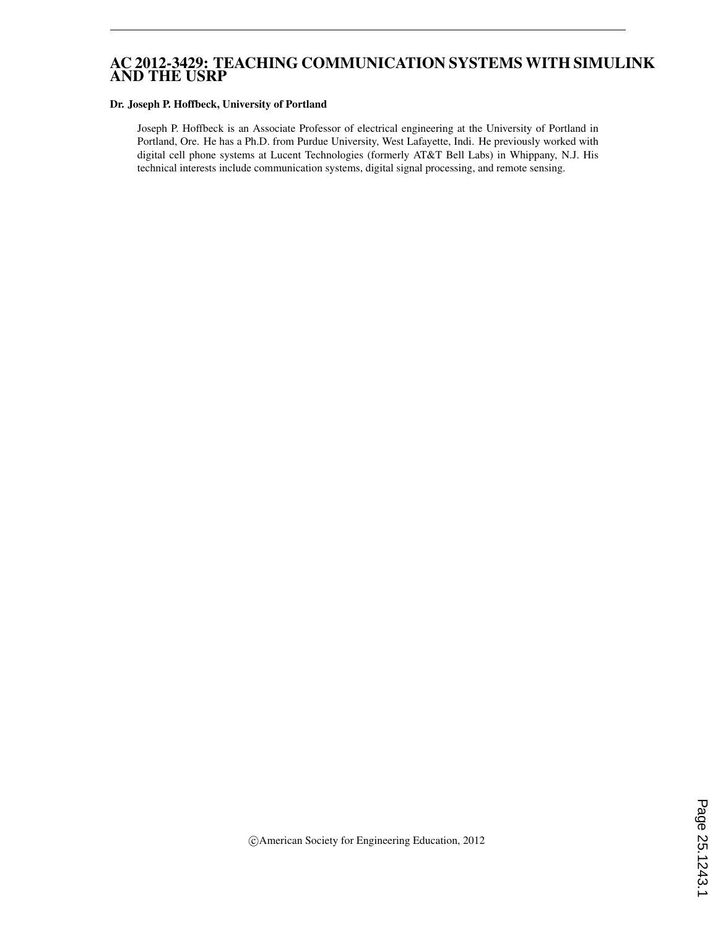## AC 2012-3429: TEACHING COMMUNICATION SYSTEMS WITH SIMULINK AND THE USRP

#### Dr. Joseph P. Hoffbeck, University of Portland

Joseph P. Hoffbeck is an Associate Professor of electrical engineering at the University of Portland in Portland, Ore. He has a Ph.D. from Purdue University, West Lafayette, Indi. He previously worked with digital cell phone systems at Lucent Technologies (formerly AT&T Bell Labs) in Whippany, N.J. His technical interests include communication systems, digital signal processing, and remote sensing.

c American Society for Engineering Education, 2012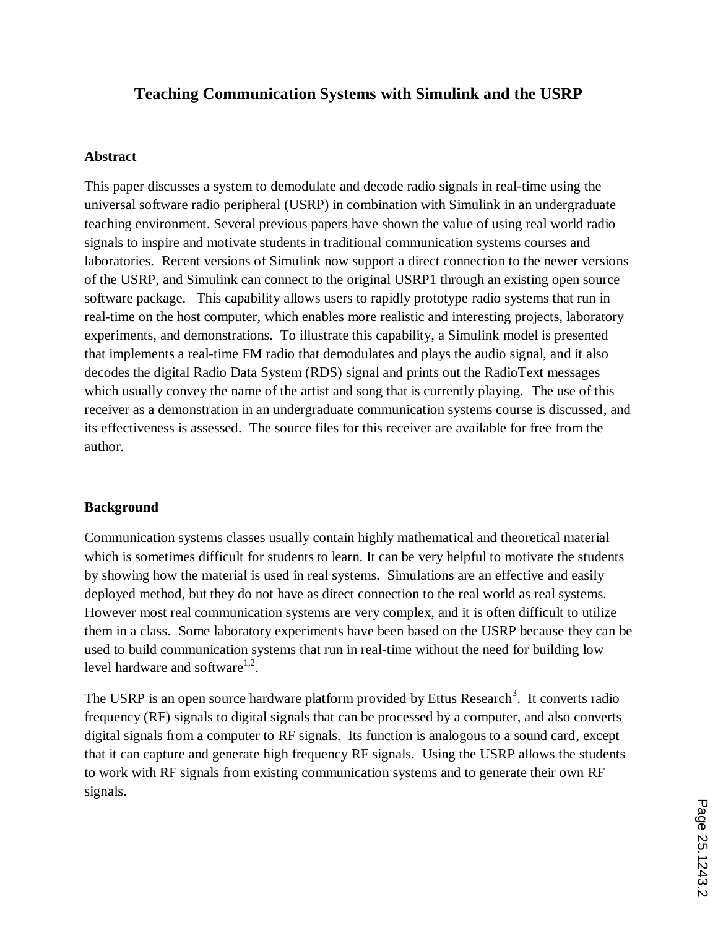# **Teaching Communication Systems with Simulink and the USRP**

#### **Abstract**

This paper discusses a system to demodulate and decode radio signals in real-time using the universal software radio peripheral (USRP) in combination with Simulink in an undergraduate teaching environment. Several previous papers have shown the value of using real world radio signals to inspire and motivate students in traditional communication systems courses and laboratories. Recent versions of Simulink now support a direct connection to the newer versions of the USRP, and Simulink can connect to the original USRP1 through an existing open source software package. This capability allows users to rapidly prototype radio systems that run in real-time on the host computer, which enables more realistic and interesting projects, laboratory experiments, and demonstrations. To illustrate this capability, a Simulink model is presented that implements a real-time FM radio that demodulates and plays the audio signal, and it also decodes the digital Radio Data System (RDS) signal and prints out the RadioText messages which usually convey the name of the artist and song that is currently playing. The use of this receiver as a demonstration in an undergraduate communication systems course is discussed, and its effectiveness is assessed. The source files for this receiver are available for free from the author.

#### **Background**

Communication systems classes usually contain highly mathematical and theoretical material which is sometimes difficult for students to learn. It can be very helpful to motivate the students by showing how the material is used in real systems. Simulations are an effective and easily deployed method, but they do not have as direct connection to the real world as real systems. However most real communication systems are very complex, and it is often difficult to utilize them in a class. Some laboratory experiments have been based on the USRP because they can be used to build communication systems that run in real-time without the need for building low level hardware and software $1,2$ .

The USRP is an open source hardware platform provided by Ettus Research<sup>3</sup>. It converts radio frequency (RF) signals to digital signals that can be processed by a computer, and also converts digital signals from a computer to RF signals. Its function is analogous to a sound card, except that it can capture and generate high frequency RF signals. Using the USRP allows the students to work with RF signals from existing communication systems and to generate their own RF signals.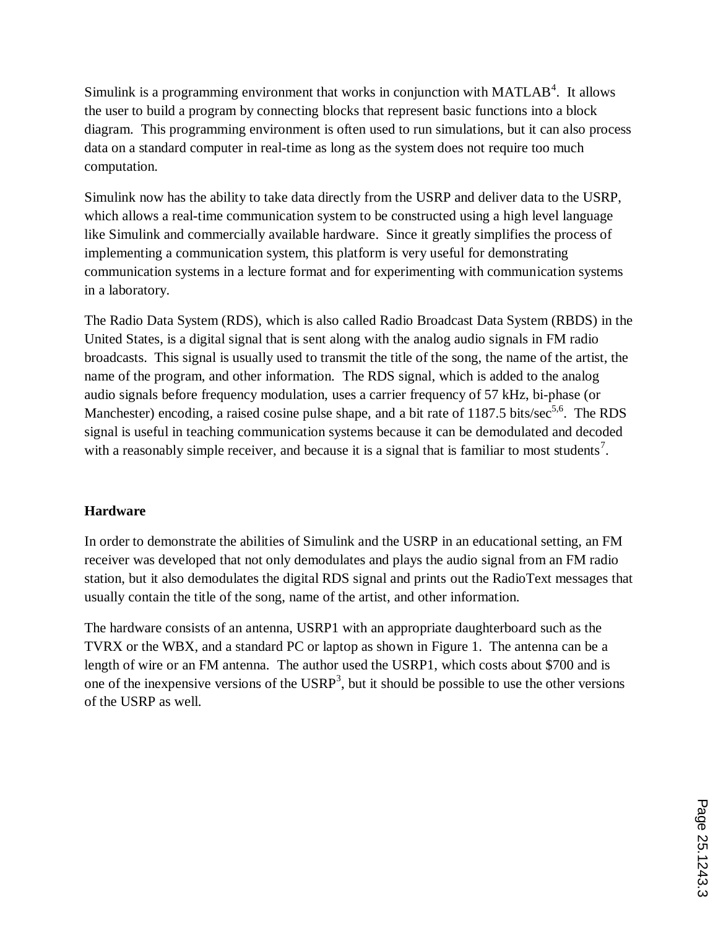Simulink is a programming environment that works in conjunction with MATLAB<sup>4</sup>. It allows the user to build a program by connecting blocks that represent basic functions into a block diagram. This programming environment is often used to run simulations, but it can also process data on a standard computer in real-time as long as the system does not require too much computation.

Simulink now has the ability to take data directly from the USRP and deliver data to the USRP, which allows a real-time communication system to be constructed using a high level language like Simulink and commercially available hardware. Since it greatly simplifies the process of implementing a communication system, this platform is very useful for demonstrating communication systems in a lecture format and for experimenting with communication systems in a laboratory.

The Radio Data System (RDS), which is also called Radio Broadcast Data System (RBDS) in the United States, is a digital signal that is sent along with the analog audio signals in FM radio broadcasts. This signal is usually used to transmit the title of the song, the name of the artist, the name of the program, and other information. The RDS signal, which is added to the analog audio signals before frequency modulation, uses a carrier frequency of 57 kHz, bi-phase (or Manchester) encoding, a raised cosine pulse shape, and a bit rate of 1187.5 bits/sec<sup>5,6</sup>. The RDS signal is useful in teaching communication systems because it can be demodulated and decoded with a reasonably simple receiver, and because it is a signal that is familiar to most students<sup>7</sup>.

## **Hardware**

In order to demonstrate the abilities of Simulink and the USRP in an educational setting, an FM receiver was developed that not only demodulates and plays the audio signal from an FM radio station, but it also demodulates the digital RDS signal and prints out the RadioText messages that usually contain the title of the song, name of the artist, and other information.

The hardware consists of an antenna, USRP1 with an appropriate daughterboard such as the TVRX or the WBX, and a standard PC or laptop as shown in Figure 1. The antenna can be a length of wire or an FM antenna. The author used the USRP1, which costs about \$700 and is one of the inexpensive versions of the  $USRP<sup>3</sup>$ , but it should be possible to use the other versions of the USRP as well.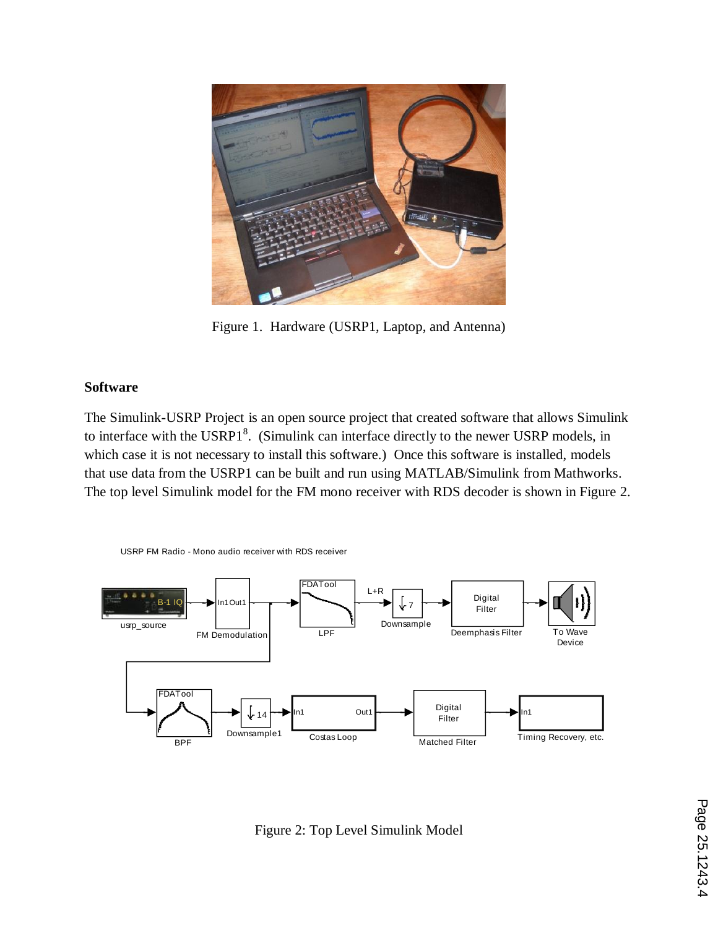

Figure 1. Hardware (USRP1, Laptop, and Antenna)

## **Software**

The Simulink-USRP Project is an open source project that created software that allows Simulink to interface with the USRP1 $<sup>8</sup>$ . (Simulink can interface directly to the newer USRP models, in</sup> which case it is not necessary to install this software.) Once this software is installed, models that use data from the USRP1 can be built and run using MATLAB/Simulink from Mathworks. The top level Simulink model for the FM mono receiver with RDS decoder is shown in Figure 2.



Figure 2: Top Level Simulink Model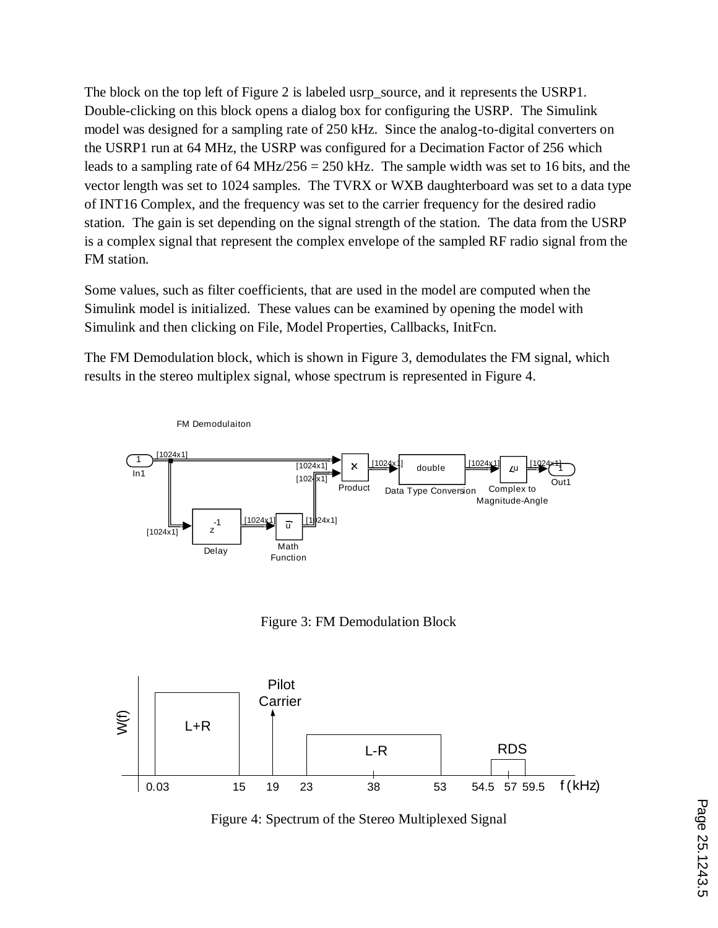The block on the top left of Figure 2 is labeled usrp\_source, and it represents the USRP1. Double-clicking on this block opens a dialog box for configuring the USRP. The Simulink model was designed for a sampling rate of 250 kHz. Since the analog-to-digital converters on the USRP1 run at 64 MHz, the USRP was configured for a Decimation Factor of 256 which leads to a sampling rate of 64 MHz/256 = 250 kHz. The sample width was set to 16 bits, and the vector length was set to 1024 samples. The TVRX or WXB daughterboard was set to a data type of INT16 Complex, and the frequency was set to the carrier frequency for the desired radio station. The gain is set depending on the signal strength of the station. The data from the USRP is a complex signal that represent the complex envelope of the sampled RF radio signal from the FM station.

Some values, such as filter coefficients, that are used in the model are computed when the Simulink model is initialized. These values can be examined by opening the model with Simulink and then clicking on File, Model Properties, Callbacks, InitFcn.

The FM Demodulation block, which is shown in Figure 3, demodulates the FM signal, which results in the stereo multiplex signal, whose spectrum is represented in Figure 4.



Figure 3: FM Demodulation Block



Figure 4: Spectrum of the Stereo Multiplexed Signal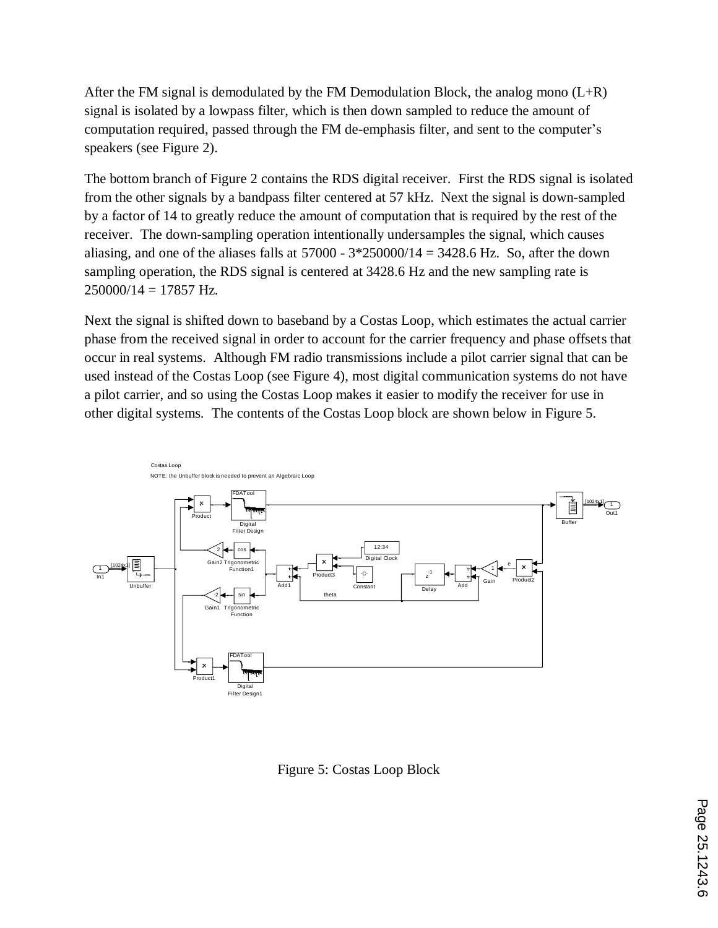After the FM signal is demodulated by the FM Demodulation Block, the analog mono  $(L+R)$ signal is isolated by a lowpass filter, which is then down sampled to reduce the amount of computation required, passed through the FM de-emphasis filter, and sent to the computer's speakers (see Figure 2).

The bottom branch of Figure 2 contains the RDS digital receiver. First the RDS signal is isolated from the other signals by a bandpass filter centered at 57 kHz. Next the signal is down-sampled by a factor of 14 to greatly reduce the amount of computation that is required by the rest of the receiver. The down-sampling operation intentionally undersamples the signal, which causes aliasing, and one of the aliases falls at  $57000 - 3*250000/14 = 3428.6$  Hz. So, after the down sampling operation, the RDS signal is centered at 3428.6 Hz and the new sampling rate is  $250000/14 = 17857$  Hz.

Next the signal is shifted down to baseband by a Costas Loop, which estimates the actual carrier phase from the received signal in order to account for the carrier frequency and phase offsets that occur in real systems. Although FM radio transmissions include a pilot carrier signal that can be used instead of the Costas Loop (see Figure 4), most digital communication systems do not have a pilot carrier, and so using the Costas Loop makes it easier to modify the receiver for use in other digital systems. The contents of the Costas Loop block are shown below in Figure 5.



Figure 5: Costas Loop Block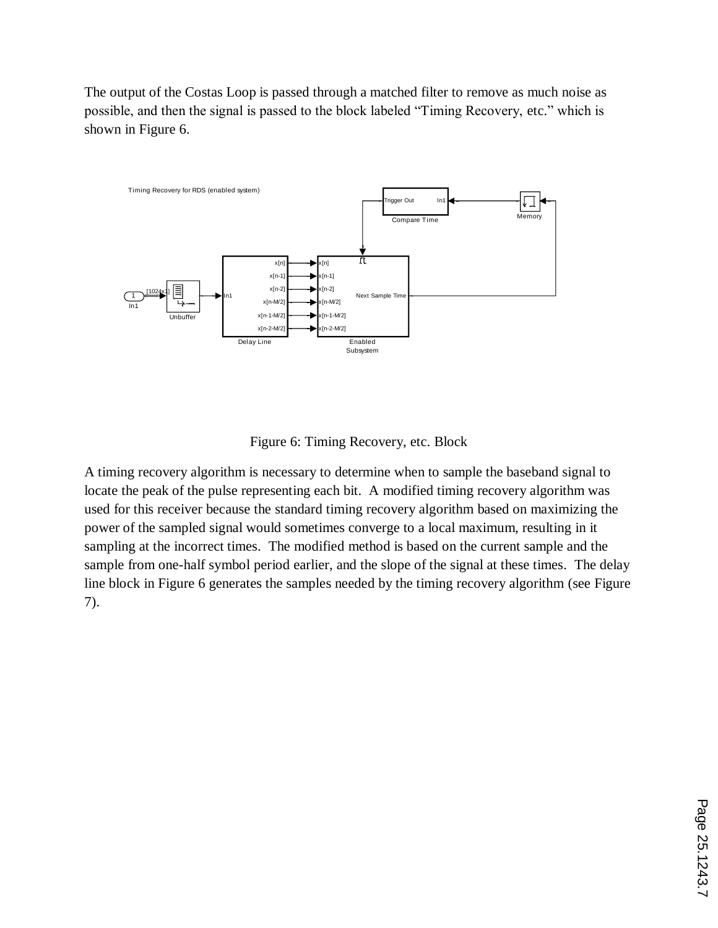The output of the Costas Loop is passed through a matched filter to remove as much noise as possible, and then the signal is passed to the block labeled "Timing Recovery, etc." which is shown in Figure 6.



Figure 6: Timing Recovery, etc. Block

A timing recovery algorithm is necessary to determine when to sample the baseband signal to locate the peak of the pulse representing each bit. A modified timing recovery algorithm was used for this receiver because the standard timing recovery algorithm based on maximizing the power of the sampled signal would sometimes converge to a local maximum, resulting in it sampling at the incorrect times. The modified method is based on the current sample and the sample from one-half symbol period earlier, and the slope of the signal at these times. The delay line block in Figure 6 generates the samples needed by the timing recovery algorithm (see Figure 7).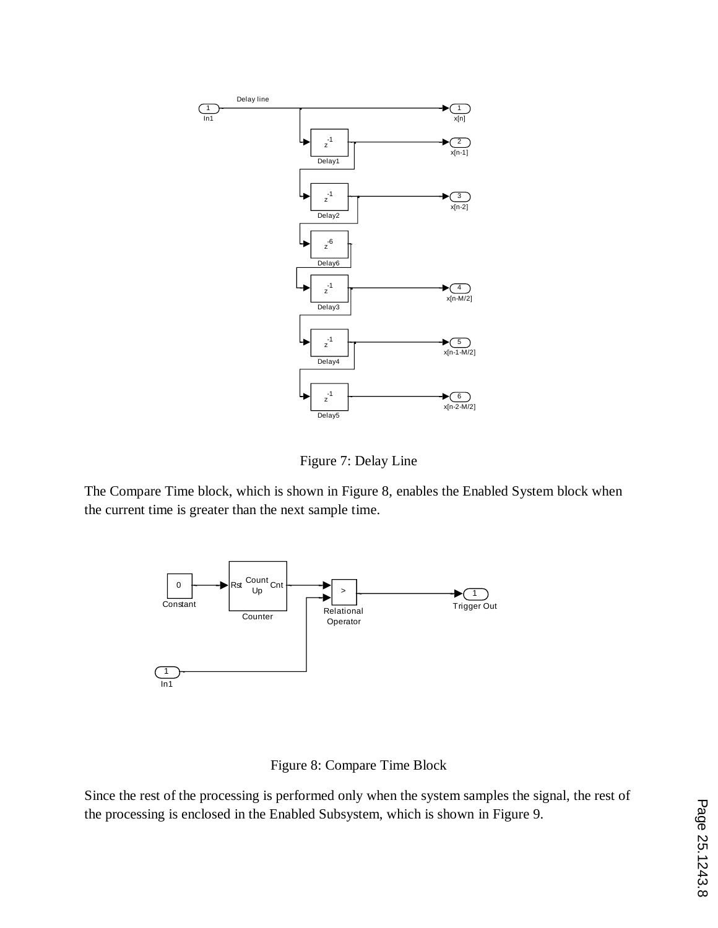

Figure 7: Delay Line

The Compare Time block, which is shown in Figure 8, enables the Enabled System block when the current time is greater than the next sample time.



Figure 8: Compare Time Block

Since the rest of the processing is performed only when the system samples the signal, the rest of the processing is enclosed in the Enabled Subsystem, which is shown in Figure 9.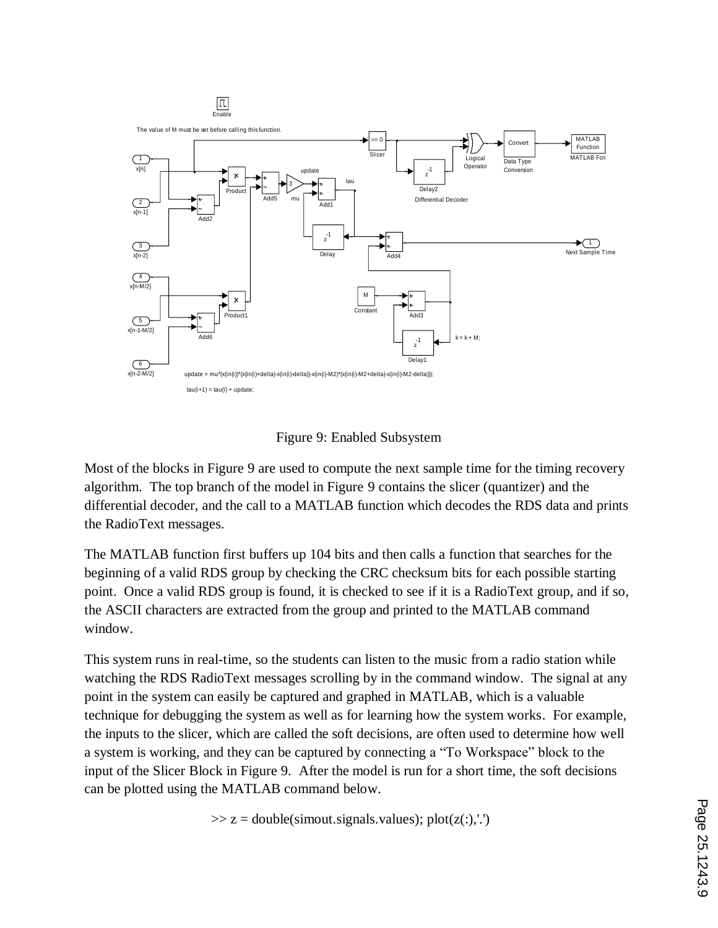

Figure 9: Enabled Subsystem

Most of the blocks in Figure 9 are used to compute the next sample time for the timing recovery algorithm. The top branch of the model in Figure 9 contains the slicer (quantizer) and the differential decoder, and the call to a MATLAB function which decodes the RDS data and prints the RadioText messages.

The MATLAB function first buffers up 104 bits and then calls a function that searches for the beginning of a valid RDS group by checking the CRC checksum bits for each possible starting point. Once a valid RDS group is found, it is checked to see if it is a RadioText group, and if so, the ASCII characters are extracted from the group and printed to the MATLAB command window.

This system runs in real-time, so the students can listen to the music from a radio station while watching the RDS RadioText messages scrolling by in the command window. The signal at any point in the system can easily be captured and graphed in MATLAB, which is a valuable technique for debugging the system as well as for learning how the system works. For example, the inputs to the slicer, which are called the soft decisions, are often used to determine how well a system is working, and they can be captured by connecting a "To Workspace" block to the input of the Slicer Block in Figure 9. After the model is run for a short time, the soft decisions can be plotted using the MATLAB command below.

 $\gg$  z = double(simout.signals.values); plot(z(:),'.')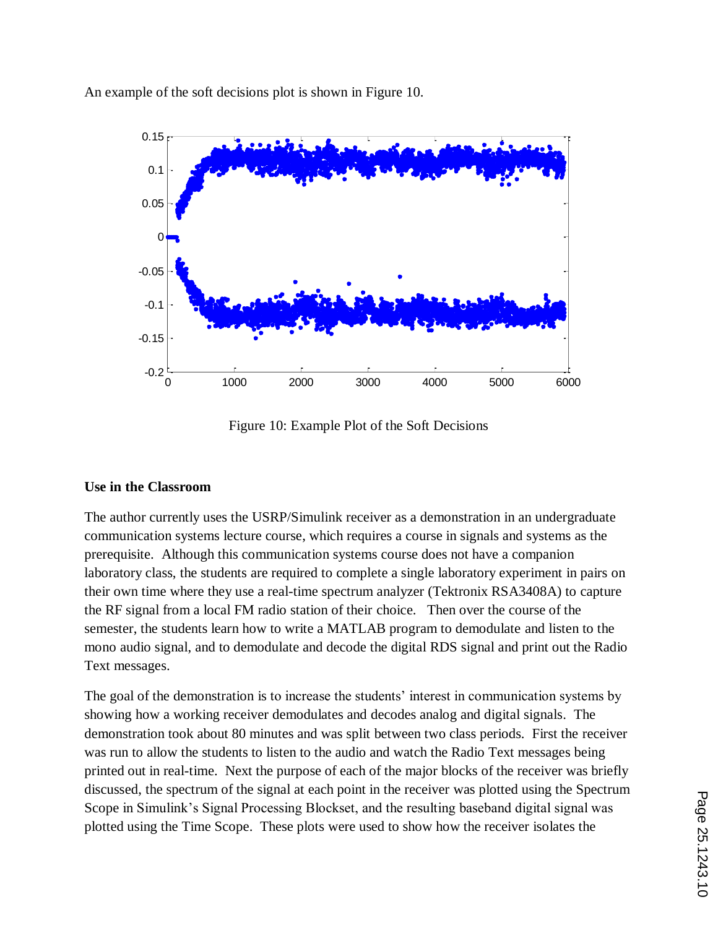An example of the soft decisions plot is shown in Figure 10.



Figure 10: Example Plot of the Soft Decisions

# **Use in the Classroom**

The author currently uses the USRP/Simulink receiver as a demonstration in an undergraduate communication systems lecture course, which requires a course in signals and systems as the prerequisite. Although this communication systems course does not have a companion laboratory class, the students are required to complete a single laboratory experiment in pairs on their own time where they use a real-time spectrum analyzer (Tektronix RSA3408A) to capture the RF signal from a local FM radio station of their choice. Then over the course of the semester, the students learn how to write a MATLAB program to demodulate and listen to the mono audio signal, and to demodulate and decode the digital RDS signal and print out the Radio Text messages.

The goal of the demonstration is to increase the students' interest in communication systems by showing how a working receiver demodulates and decodes analog and digital signals. The demonstration took about 80 minutes and was split between two class periods. First the receiver was run to allow the students to listen to the audio and watch the Radio Text messages being printed out in real-time. Next the purpose of each of the major blocks of the receiver was briefly discussed, the spectrum of the signal at each point in the receiver was plotted using the Spectrum Scope in Simulink's Signal Processing Blockset, and the resulting baseband digital signal was plotted using the Time Scope. These plots were used to show how the receiver isolates the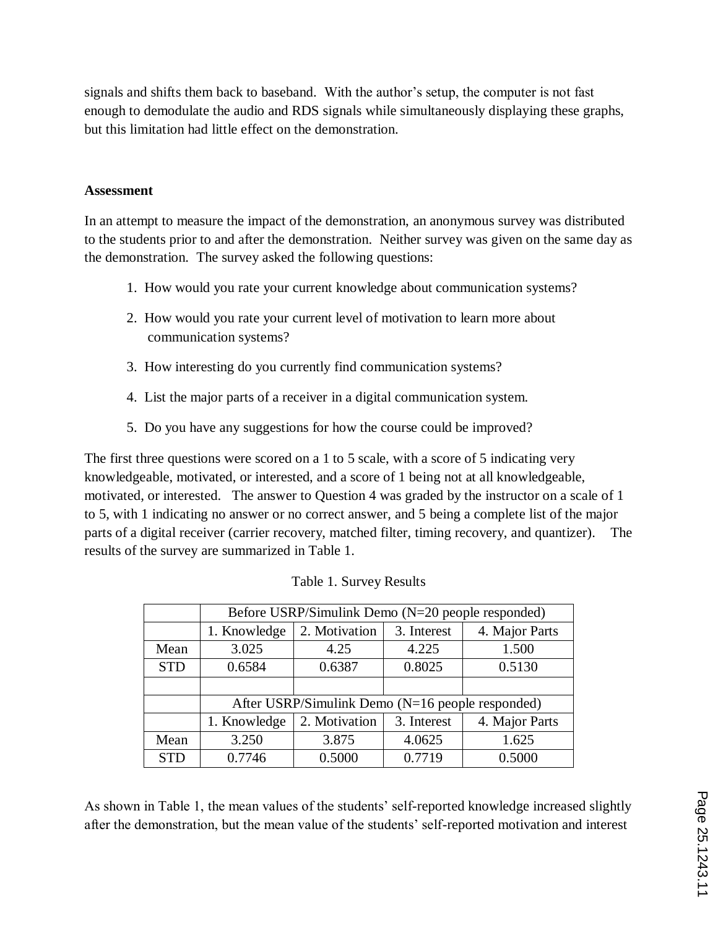signals and shifts them back to baseband. With the author's setup, the computer is not fast enough to demodulate the audio and RDS signals while simultaneously displaying these graphs, but this limitation had little effect on the demonstration.

#### **Assessment**

In an attempt to measure the impact of the demonstration, an anonymous survey was distributed to the students prior to and after the demonstration. Neither survey was given on the same day as the demonstration. The survey asked the following questions:

- 1. How would you rate your current knowledge about communication systems?
- 2. How would you rate your current level of motivation to learn more about communication systems?
- 3. How interesting do you currently find communication systems?
- 4. List the major parts of a receiver in a digital communication system.
- 5. Do you have any suggestions for how the course could be improved?

The first three questions were scored on a 1 to 5 scale, with a score of 5 indicating very knowledgeable, motivated, or interested, and a score of 1 being not at all knowledgeable, motivated, or interested. The answer to Question 4 was graded by the instructor on a scale of 1 to 5, with 1 indicating no answer or no correct answer, and 5 being a complete list of the major parts of a digital receiver (carrier recovery, matched filter, timing recovery, and quantizer). The results of the survey are summarized in Table 1.

|            | Before USRP/Simulink Demo (N=20 people responded) |               |             |                |  |
|------------|---------------------------------------------------|---------------|-------------|----------------|--|
|            | 1. Knowledge                                      | 2. Motivation | 3. Interest | 4. Major Parts |  |
| Mean       | 3.025                                             | 4.25          | 4.225       | 1.500          |  |
| <b>STD</b> | 0.6584                                            | 0.6387        | 0.8025      | 0.5130         |  |
|            |                                                   |               |             |                |  |
|            | After USRP/Simulink Demo (N=16 people responded)  |               |             |                |  |
|            | 1. Knowledge                                      | 2. Motivation | 3. Interest | 4. Major Parts |  |
| Mean       | 3.250                                             | 3.875         | 4.0625      | 1.625          |  |
| <b>STD</b> | 0.7746                                            | 0.5000        | 0.7719      | 0.5000         |  |

|  | Table 1. Survey Results |
|--|-------------------------|
|  |                         |

As shown in Table 1, the mean values of the students' self-reported knowledge increased slightly after the demonstration, but the mean value of the students' self-reported motivation and interest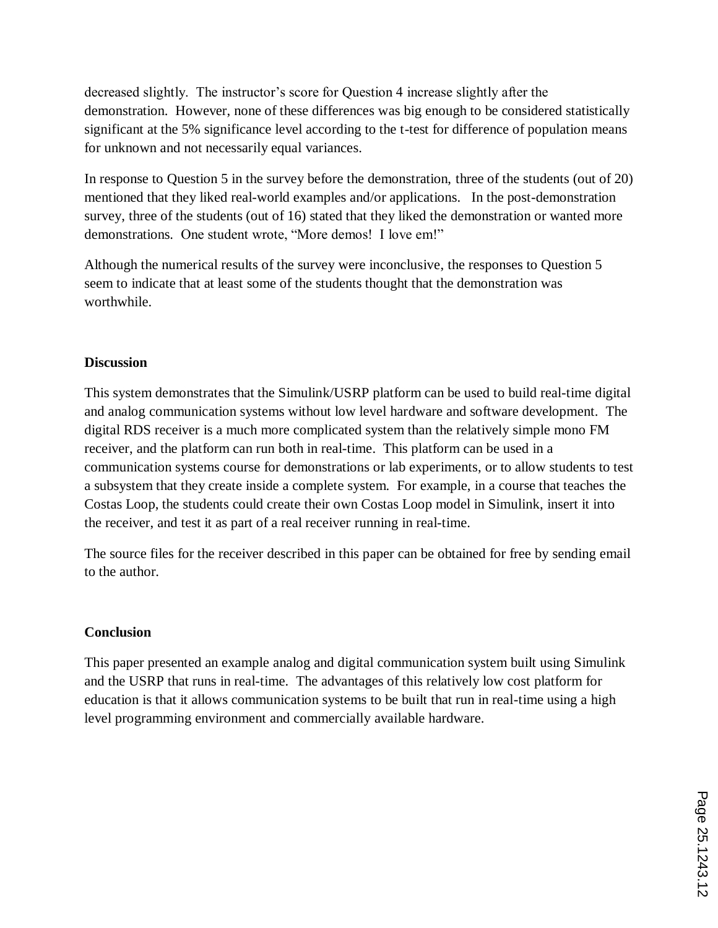decreased slightly. The instructor's score for Question 4 increase slightly after the demonstration. However, none of these differences was big enough to be considered statistically significant at the 5% significance level according to the t-test for difference of population means for unknown and not necessarily equal variances.

In response to Question 5 in the survey before the demonstration, three of the students (out of 20) mentioned that they liked real-world examples and/or applications. In the post-demonstration survey, three of the students (out of 16) stated that they liked the demonstration or wanted more demonstrations. One student wrote, "More demos! I love em!"

Although the numerical results of the survey were inconclusive, the responses to Question 5 seem to indicate that at least some of the students thought that the demonstration was worthwhile.

## **Discussion**

This system demonstrates that the Simulink/USRP platform can be used to build real-time digital and analog communication systems without low level hardware and software development. The digital RDS receiver is a much more complicated system than the relatively simple mono FM receiver, and the platform can run both in real-time. This platform can be used in a communication systems course for demonstrations or lab experiments, or to allow students to test a subsystem that they create inside a complete system. For example, in a course that teaches the Costas Loop, the students could create their own Costas Loop model in Simulink, insert it into the receiver, and test it as part of a real receiver running in real-time.

The source files for the receiver described in this paper can be obtained for free by sending email to the author.

# **Conclusion**

This paper presented an example analog and digital communication system built using Simulink and the USRP that runs in real-time. The advantages of this relatively low cost platform for education is that it allows communication systems to be built that run in real-time using a high level programming environment and commercially available hardware.